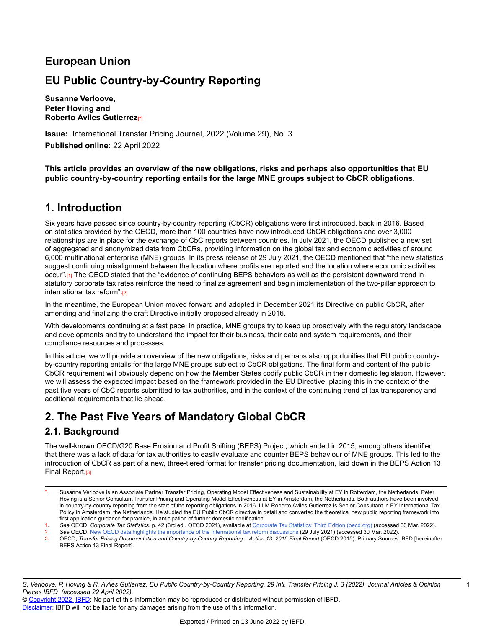# **European Union**

# **EU Public Country-by-Country Reporting**

**Susanne Verloove, Peter Hoving and Roberto Aviles Gutierrez[\*]**

**Issue:** International Transfer Pricing Journal, 2022 (Volume 29), No. 3 **Published online:** 22 April 2022

**This article provides an overview of the new obligations, risks and perhaps also opportunities that EU public country-by-country reporting entails for the large MNE groups subject to CbCR obligations.**

# **1. Introduction**

Six years have passed since country-by-country reporting (CbCR) obligations were first introduced, back in 2016. Based on statistics provided by the OECD, more than 100 countries have now introduced CbCR obligations and over 3,000 relationships are in place for the exchange of CbC reports between countries. In July 2021, the OECD published a new set of aggregated and anonymized data from CbCRs, providing information on the global tax and economic activities of around 6,000 multinational enterprise (MNE) groups. In its press release of 29 July 2021, the OECD mentioned that "the new statistics suggest continuing misalignment between the location where profits are reported and the location where economic activities occur".[1] The OECD stated that the "evidence of continuing BEPS behaviors as well as the persistent downward trend in statutory corporate tax rates reinforce the need to finalize agreement and begin implementation of the two-pillar approach to international tax reform".[2]

In the meantime, the European Union moved forward and adopted in December 2021 its Directive on public CbCR, after amending and finalizing the draft Directive initially proposed already in 2016.

With developments continuing at a fast pace, in practice, MNE groups try to keep up proactively with the regulatory landscape and developments and try to understand the impact for their business, their data and system requirements, and their compliance resources and processes.

In this article, we will provide an overview of the new obligations, risks and perhaps also opportunities that EU public countryby-country reporting entails for the large MNE groups subject to CbCR obligations. The final form and content of the public CbCR requirement will obviously depend on how the Member States codify public CbCR in their domestic legislation. However, we will assess the expected impact based on the framework provided in the EU Directive, placing this in the context of the past five years of CbC reports submitted to tax authorities, and in the context of the continuing trend of tax transparency and additional requirements that lie ahead.

# **2. The Past Five Years of Mandatory Global CbCR**

## **2.1. Background**

The well-known OECD/G20 Base Erosion and Profit Shifting (BEPS) Project, which ended in 2015, among others identified that there was a lack of data for tax authorities to easily evaluate and counter BEPS behaviour of MNE groups. This led to the introduction of CbCR as part of a new, three-tiered format for transfer pricing documentation, laid down in the BEPS Action 13 Final Report.[3]

Susanne Verloove is an Associate Partner Transfer Pricing, Operating Model Effectiveness and Sustainability at EY in Rotterdam, the Netherlands. Peter Hoving is a Senior Consultant Transfer Pricing and Operating Model Effectiveness at EY in Amsterdam, the Netherlands. Both authors have been involved in country-by-country reporting from the start of the reporting obligations in 2016. LLM Roberto Aviles Gutierrez is Senior Consultant in EY International Tax Policy in Amsterdam, the Netherlands. He studied the EU Public CbCR directive in detail and converted the theoretical new public reporting framework into first application guidance for practice, in anticipation of further domestic codification.

<sup>1.</sup> *See* OECD, *Corporate Tax Statistics*, p. 42 (3rd ed., OECD 2021), available at Corporate Tax Statistics: Third Edition [\(oecd.org\)](https://www.oecd.org/tax/tax-policy/corporate-tax-statistics-third-edition.pdf) (accessed 30 Mar. 2022).

<sup>2.</sup> See OECD, [New OECD data highlights the importance of the international tax reform discussions](https://www.oecd.org/tax/beps/new-oecd-data-highlights-the-importance-of-the-international-tax-reform-discussions.htm) (29 July 2021) (accessed 30 Mar. 2022).<br>3. OECD *Transfer Pricing Documentation and Country-by-Country Reporting – Action 13:* OECD, Transfer Pricing Documentation and Country-by-Country Reporting - Action 13: 2015 Final Report (OECD 2015), Primary Sources IBFD [hereinafter

BEPS Action 13 Final Report].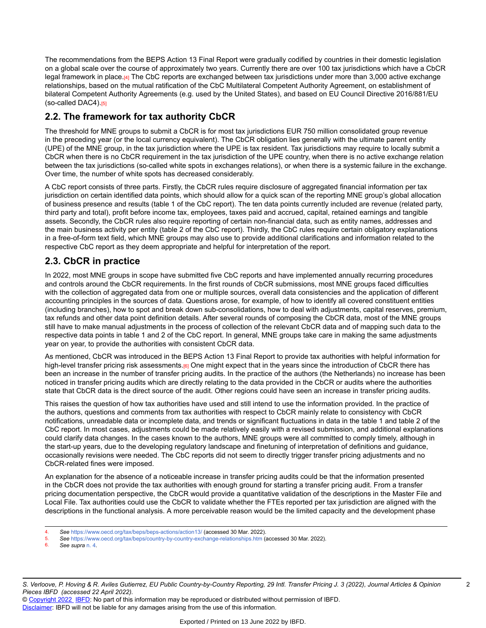The recommendations from the BEPS Action 13 Final Report were gradually codified by countries in their domestic legislation on a global scale over the course of approximately two years. Currently there are over 100 tax jurisdictions which have a CbCR legal framework in place.[4] The CbC reports are exchanged between tax jurisdictions under more than 3,000 active exchange relationships, based on the mutual ratification of the CbC Multilateral Competent Authority Agreement, on establishment of bilateral Competent Authority Agreements (e.g. used by the United States), and based on EU Council Directive 2016/881/EU (so-called DAC4).[5]

# **2.2. The framework for tax authority CbCR**

The threshold for MNE groups to submit a CbCR is for most tax jurisdictions EUR 750 million consolidated group revenue in the preceding year (or the local currency equivalent). The CbCR obligation lies generally with the ultimate parent entity (UPE) of the MNE group, in the tax jurisdiction where the UPE is tax resident. Tax jurisdictions may require to locally submit a CbCR when there is no CbCR requirement in the tax jurisdiction of the UPE country, when there is no active exchange relation between the tax jurisdictions (so-called white spots in exchanges relations), or when there is a systemic failure in the exchange. Over time, the number of white spots has decreased considerably.

A CbC report consists of three parts. Firstly, the CbCR rules require disclosure of aggregated financial information per tax jurisdiction on certain identified data points, which should allow for a quick scan of the reporting MNE group's global allocation of business presence and results (table 1 of the CbC report). The ten data points currently included are revenue (related party, third party and total), profit before income tax, employees, taxes paid and accrued, capital, retained earnings and tangible assets. Secondly, the CbCR rules also require reporting of certain non-financial data, such as entity names, addresses and the main business activity per entity (table 2 of the CbC report). Thirdly, the CbC rules require certain obligatory explanations in a free-of-form text field, which MNE groups may also use to provide additional clarifications and information related to the respective CbC report as they deem appropriate and helpful for interpretation of the report.

## **2.3. CbCR in practice**

In 2022, most MNE groups in scope have submitted five CbC reports and have implemented annually recurring procedures and controls around the CbCR requirements. In the first rounds of CbCR submissions, most MNE groups faced difficulties with the collection of aggregated data from one or multiple sources, overall data consistencies and the application of different accounting principles in the sources of data. Questions arose, for example, of how to identify all covered constituent entities (including branches), how to spot and break down sub-consolidations, how to deal with adjustments, capital reserves, premium, tax refunds and other data point definition details. After several rounds of composing the CbCR data, most of the MNE groups still have to make manual adjustments in the process of collection of the relevant CbCR data and of mapping such data to the respective data points in table 1 and 2 of the CbC report. In general, MNE groups take care in making the same adjustments year on year, to provide the authorities with consistent CbCR data.

As mentioned, CbCR was introduced in the BEPS Action 13 Final Report to provide tax authorities with helpful information for high-level transfer pricing risk assessments.<sup>[6]</sup> One might expect that in the years since the introduction of CbCR there has been an increase in the number of transfer pricing audits. In the practice of the authors (the Netherlands) no increase has been noticed in transfer pricing audits which are directly relating to the data provided in the CbCR or audits where the authorities state that CbCR data is the direct source of the audit. Other regions could have seen an increase in transfer pricing audits.

This raises the question of how tax authorities have used and still intend to use the information provided. In the practice of the authors, questions and comments from tax authorities with respect to CbCR mainly relate to consistency with CbCR notifications, unreadable data or incomplete data, and trends or significant fluctuations in data in the table 1 and table 2 of the CbC report. In most cases, adjustments could be made relatively easily with a revised submission, and additional explanations could clarify data changes. In the cases known to the authors, MNE groups were all committed to comply timely, although in the start-up years, due to the developing regulatory landscape and finetuning of interpretation of definitions and guidance, occasionally revisions were needed. The CbC reports did not seem to directly trigger transfer pricing adjustments and no CbCR-related fines were imposed.

An explanation for the absence of a noticeable increase in transfer pricing audits could be that the information presented in the CbCR does not provide the tax authorities with enough ground for starting a transfer pricing audit. From a transfer pricing documentation perspective, the CbCR would provide a quantitative validation of the descriptions in the Master File and Local File. Tax authorities could use the CbCR to validate whether the FTEs reported per tax jurisdiction are aligned with the descriptions in the functional analysis. A more perceivable reason would be the limited capacity and the development phase

<sup>4.</sup> *See* <https://www.oecd.org/tax/beps/beps-actions/action13/> (accessed 30 Mar. 2022).

<sup>5.</sup> **See** <https://www.oecd.org/tax/beps/country-by-country-exchange-relationships.htm> (accessed 30 Mar. 2022).

<sup>6.</sup> *See supra* [n. 4.](https://research.ibfd.org/#/doc?url=/linkresolver/static/itpj_2022_03_e2_1_fn_4%23itpj_2022_03_e2_1_fn_4)

S. Verloove, P. Hoving & R. Aviles Gutierrez, EU Public Country-by-Country Reporting, 29 Intl. Transfer Pricing J. 3 (2022), Journal Articles & Opinion *Pieces IBFD (accessed 22 April 2022).*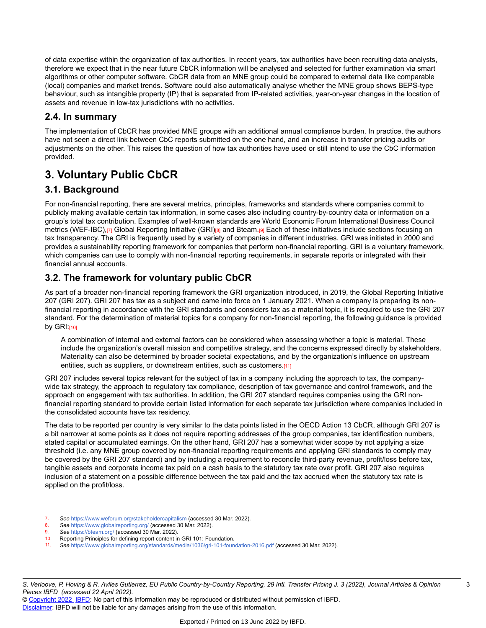of data expertise within the organization of tax authorities. In recent years, tax authorities have been recruiting data analysts, therefore we expect that in the near future CbCR information will be analysed and selected for further examination via smart algorithms or other computer software. CbCR data from an MNE group could be compared to external data like comparable (local) companies and market trends. Software could also automatically analyse whether the MNE group shows BEPS-type behaviour, such as intangible property (IP) that is separated from IP-related activities, year-on-year changes in the location of assets and revenue in low-tax jurisdictions with no activities.

## **2.4. In summary**

The implementation of CbCR has provided MNE groups with an additional annual compliance burden. In practice, the authors have not seen a direct link between CbC reports submitted on the one hand, and an increase in transfer pricing audits or adjustments on the other. This raises the question of how tax authorities have used or still intend to use the CbC information provided.

# **3. Voluntary Public CbCR**

## **3.1. Background**

For non-financial reporting, there are several metrics, principles, frameworks and standards where companies commit to publicly making available certain tax information, in some cases also including country-by-country data or information on a group's total tax contribution. Examples of well-known standards are World Economic Forum International Business Council metrics (WEF-IBC),[7] Global Reporting Initiative (GRI)[8] and Bteam.[9] Each of these initiatives include sections focusing on tax transparency. The GRI is frequently used by a variety of companies in different industries. GRI was initiated in 2000 and provides a sustainability reporting framework for companies that perform non-financial reporting. GRI is a voluntary framework, which companies can use to comply with non-financial reporting requirements, in separate reports or integrated with their financial annual accounts.

## **3.2. The framework for voluntary public CbCR**

As part of a broader non-financial reporting framework the GRI organization introduced, in 2019, the Global Reporting Initiative 207 (GRI 207). GRI 207 has tax as a subject and came into force on 1 January 2021. When a company is preparing its nonfinancial reporting in accordance with the GRI standards and considers tax as a material topic, it is required to use the GRI 207 standard. For the determination of material topics for a company for non-financial reporting, the following guidance is provided by  $GRI:$ [10]

A combination of internal and external factors can be considered when assessing whether a topic is material. These include the organization's overall mission and competitive strategy, and the concerns expressed directly by stakeholders. Materiality can also be determined by broader societal expectations, and by the organization's influence on upstream entities, such as suppliers, or downstream entities, such as customers.[11]

GRI 207 includes several topics relevant for the subject of tax in a company including the approach to tax, the companywide tax strategy, the approach to regulatory tax compliance, description of tax governance and control framework, and the approach on engagement with tax authorities. In addition, the GRI 207 standard requires companies using the GRI nonfinancial reporting standard to provide certain listed information for each separate tax jurisdiction where companies included in the consolidated accounts have tax residency.

The data to be reported per country is very similar to the data points listed in the OECD Action 13 CbCR, although GRI 207 is a bit narrower at some points as it does not require reporting addresses of the group companies, tax identification numbers, stated capital or accumulated earnings. On the other hand, GRI 207 has a somewhat wider scope by not applying a size threshold (i.e. any MNE group covered by non-financial reporting requirements and applying GRI standards to comply may be covered by the GRI 207 standard) and by including a requirement to reconcile third-party revenue, profit/loss before tax, tangible assets and corporate income tax paid on a cash basis to the statutory tax rate over profit. GRI 207 also requires inclusion of a statement on a possible difference between the tax paid and the tax accrued when the statutory tax rate is applied on the profit/loss.

- 7. *See* <https://www.weforum.org/stakeholdercapitalism> (accessed 30 Mar. 2022).
- 8. *See* <https://www.globalreporting.org/> (accessed 30 Mar. 2022).
- See <https://bteam.org/> (accessed 30 Mar. 2022).
- 10. Reporting Principles for defining report content in GRI 101: Foundation.
- 11. *See* <https://www.globalreporting.org/standards/media/1036/gri-101-foundation-2016.pdf> (accessed 30 Mar. 2022).

© [Copyright 2022](http://www.ibfd.org/Copyright-IBFD) [IBFD](http://www.ibfd.org): No part of this information may be reproduced or distributed without permission of IBFD. [Disclaimer:](http://www.ibfd.org/Disclaimer) IBFD will not be liable for any damages arising from the use of this information.

3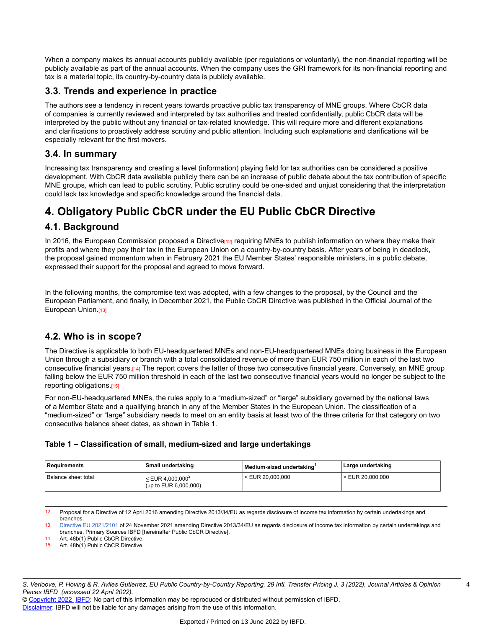When a company makes its annual accounts publicly available (per regulations or voluntarily), the non-financial reporting will be publicly available as part of the annual accounts. When the company uses the GRI framework for its non-financial reporting and tax is a material topic, its country-by-country data is publicly available.

### **3.3. Trends and experience in practice**

The authors see a tendency in recent years towards proactive public tax transparency of MNE groups. Where CbCR data of companies is currently reviewed and interpreted by tax authorities and treated confidentially, public CbCR data will be interpreted by the public without any financial or tax-related knowledge. This will require more and different explanations and clarifications to proactively address scrutiny and public attention. Including such explanations and clarifications will be especially relevant for the first movers.

#### **3.4. In summary**

Increasing tax transparency and creating a level (information) playing field for tax authorities can be considered a positive development. With CbCR data available publicly there can be an increase of public debate about the tax contribution of specific MNE groups, which can lead to public scrutiny. Public scrutiny could be one-sided and unjust considering that the interpretation could lack tax knowledge and specific knowledge around the financial data.

# **4. Obligatory Public CbCR under the EU Public CbCR Directive**

## **4.1. Background**

In 2016, the European Commission proposed a Directive  $12$  requiring MNEs to publish information on where they make their profits and where they pay their tax in the European Union on a country-by-country basis. After years of being in deadlock, the proposal gained momentum when in February 2021 the EU Member States' responsible ministers, in a public debate, expressed their support for the proposal and agreed to move forward.

In the following months, the compromise text was adopted, with a few changes to the proposal, by the Council and the European Parliament, and finally, in December 2021, the Public CbCR Directive was published in the Official Journal of the European Union.[13]

## **4.2. Who is in scope?**

The Directive is applicable to both EU-headquartered MNEs and non-EU-headquartered MNEs doing business in the European Union through a subsidiary or branch with a total consolidated revenue of more than EUR 750 million in each of the last two consecutive financial years.[14] The report covers the latter of those two consecutive financial years. Conversely, an MNE group falling below the EUR 750 million threshold in each of the last two consecutive financial years would no longer be subject to the reporting obligations.[15]

For non-EU-headquartered MNEs, the rules apply to a "medium-sized" or "large" subsidiary governed by the national laws of a Member State and a qualifying branch in any of the Member States in the European Union. The classification of a "medium-sized" or "large" subsidiary needs to meet on an entity basis at least two of the three criteria for that category on two consecutive balance sheet dates, as shown in Table 1.

#### **Table 1 – Classification of small, medium-sized and large undertakings**

| ∣ Reauirements      | Small undertaking                                                     | Medium-sized undertaking | Large undertaking  |
|---------------------|-----------------------------------------------------------------------|--------------------------|--------------------|
| Balance sheet total | $<$ EUR 4.000.000 <sup>2</sup><br>$\frac{1}{2}$ (up to EUR 6,000,000) | $<$ EUR 20.000.000       | $>$ EUR 20.000.000 |

12. Proposal for a Directive of 12 April 2016 amending Directive 2013/34/EU as regards disclosure of income tax information by certain undertakings and branches.

13. [Directive EU 2021/2101](https://research.ibfd.org/#/doc?url=/linkresolver/static/tt_e2_2013-34_eng_2013_tt__ad3%23tt_e2_2013-34_eng_2013_tt__ad3) of 24 November 2021 amending Directive 2013/34/EU as regards disclosure of income tax information by certain undertakings and branches, Primary Sources IBFD [hereinafter Public CbCR Directive].

14. Art. 48b(1) Public CbCR Directive.<br>15. Art. 48b(1) Public CbCR Directive.

Art. 48b(1) Public CbCR Directive.

S. Verloove, P. Hoving & R. Aviles Gutierrez, EU Public Country-by-Country Reporting, 29 Intl. Transfer Pricing J. 3 (2022), Journal Articles & Opinion *Pieces IBFD (accessed 22 April 2022).*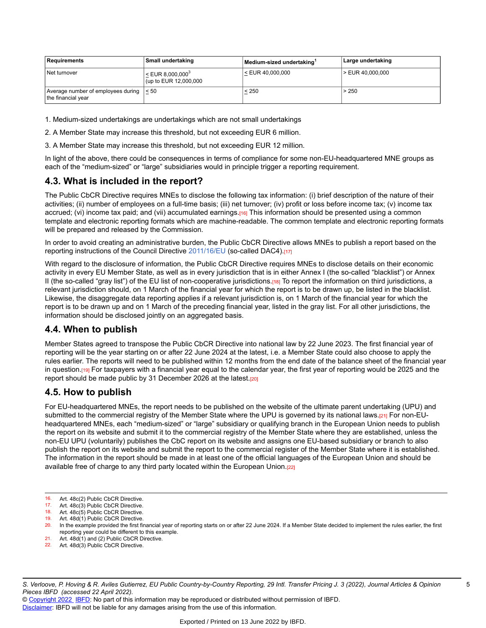| Requirements                                             | Small undertaking                                              | Medium-sized undertaking | Large undertaking    |
|----------------------------------------------------------|----------------------------------------------------------------|--------------------------|----------------------|
| Net turnover                                             | $\leq$ EUR 8,000,000 <sup>3</sup><br>$ $ (up to EUR 12,000,000 | $\le$ EUR 40,000,000     | $\ge$ EUR 40,000,000 |
| Average number of employees during<br>the financial year | $\leq 50$                                                      | < 250                    | > 250                |

1. Medium-sized undertakings are undertakings which are not small undertakings

2. A Member State may increase this threshold, but not exceeding EUR 6 million.

3. A Member State may increase this threshold, but not exceeding EUR 12 million.

In light of the above, there could be consequences in terms of compliance for some non-EU-headquartered MNE groups as each of the "medium-sized" or "large" subsidiaries would in principle trigger a reporting requirement.

#### **4.3. What is included in the report?**

The Public CbCR Directive requires MNEs to disclose the following tax information: (i) brief description of the nature of their activities; (ii) number of employees on a full-time basis; (iii) net turnover; (iv) profit or loss before income tax; (v) income tax accrued; (vi) income tax paid; and (vii) accumulated earnings.[16] This information should be presented using a common template and electronic reporting formats which are machine-readable. The common template and electronic reporting formats will be prepared and released by the Commission.

In order to avoid creating an administrative burden, the Public CbCR Directive allows MNEs to publish a report based on the reporting instructions of the Council Directive [2011/16/EU](https://research.ibfd.org/#/doc?url=/linkresolver/static/tt_e2_41_eng_2011_tt%23tt_e2_41_eng_2011_tt) (so-called DAC4).[17]

With regard to the disclosure of information, the Public CbCR Directive requires MNEs to disclose details on their economic activity in every EU Member State, as well as in every jurisdiction that is in either Annex I (the so-called "blacklist") or Annex II (the so-called "gray list") of the EU list of non-cooperative jurisdictions.[18] To report the information on third jurisdictions, a relevant jurisdiction should, on 1 March of the financial year for which the report is to be drawn up, be listed in the blacklist. Likewise, the disaggregate data reporting applies if a relevant jurisdiction is, on 1 March of the financial year for which the report is to be drawn up and on 1 March of the preceding financial year, listed in the gray list. For all other jurisdictions, the information should be disclosed jointly on an aggregated basis.

## **4.4. When to publish**

Member States agreed to transpose the Public CbCR Directive into national law by 22 June 2023. The first financial year of reporting will be the year starting on or after 22 June 2024 at the latest, i.e. a Member State could also choose to apply the rules earlier. The reports will need to be published within 12 months from the end date of the balance sheet of the financial year in question.[19] For taxpayers with a financial year equal to the calendar year, the first year of reporting would be 2025 and the report should be made public by 31 December 2026 at the latest.[20]

#### **4.5. How to publish**

For EU-headquartered MNEs, the report needs to be published on the website of the ultimate parent undertaking (UPU) and submitted to the commercial registry of the Member State where the UPU is governed by its national laws.[21] For non-EUheadquartered MNEs, each "medium-sized" or "large" subsidiary or qualifying branch in the European Union needs to publish the report on its website and submit it to the commercial registry of the Member State where they are established, unless the non-EU UPU (voluntarily) publishes the CbC report on its website and assigns one EU-based subsidiary or branch to also publish the report on its website and submit the report to the commercial register of the Member State where it is established. The information in the report should be made in at least one of the official languages of the European Union and should be available free of charge to any third party located within the European Union.<sup>[22]</sup>

- 16. Art. 48c(2) Public CbCR Directive.<br>17. Art. 48c(3) Public CbCR Directive
- 17. Art.  $48c(3)$  Public CbCR Directive.<br>18. Art.  $48c(5)$  Public CbCR Directive
- 18. Art. 48c(5) Public CbCR Directive.<br>19. Art. 48d(1) Public CbCR Directive
- Art. 48d(1) Public CbCR Directive.

- 21. Art. 48d(1) and (2) Public CbCR Directive.
- 22. Art. 48d(3) Public CbCR Directive.

S. Verloove, P. Hoving & R. Aviles Gutierrez, EU Public Country-by-Country Reporting, 29 Intl. Transfer Pricing J. 3 (2022), Journal Articles & Opinion *Pieces IBFD (accessed 22 April 2022).*

<sup>20.</sup> In the example provided the first financial year of reporting starts on or after 22 June 2024. If a Member State decided to implement the rules earlier, the first reporting year could be different to this example.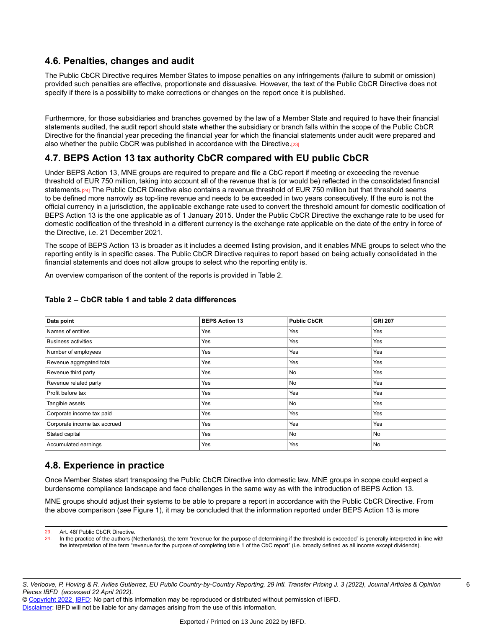### **4.6. Penalties, changes and audit**

The Public CbCR Directive requires Member States to impose penalties on any infringements (failure to submit or omission) provided such penalties are effective, proportionate and dissuasive. However, the text of the Public CbCR Directive does not specify if there is a possibility to make corrections or changes on the report once it is published.

Furthermore, for those subsidiaries and branches governed by the law of a Member State and required to have their financial statements audited, the audit report should state whether the subsidiary or branch falls within the scope of the Public CbCR Directive for the financial year preceding the financial year for which the financial statements under audit were prepared and also whether the public CbCR was published in accordance with the Directive.[23]

## **4.7. BEPS Action 13 tax authority CbCR compared with EU public CbCR**

Under BEPS Action 13, MNE groups are required to prepare and file a CbC report if meeting or exceeding the revenue threshold of EUR 750 million, taking into account all of the revenue that is (or would be) reflected in the consolidated financial statements.[24] The Public CbCR Directive also contains a revenue threshold of EUR 750 million but that threshold seems to be defined more narrowly as top-line revenue and needs to be exceeded in two years consecutively. If the euro is not the official currency in a jurisdiction, the applicable exchange rate used to convert the threshold amount for domestic codification of BEPS Action 13 is the one applicable as of 1 January 2015. Under the Public CbCR Directive the exchange rate to be used for domestic codification of the threshold in a different currency is the exchange rate applicable on the date of the entry in force of the Directive, i.e. 21 December 2021.

The scope of BEPS Action 13 is broader as it includes a deemed listing provision, and it enables MNE groups to select who the reporting entity is in specific cases. The Public CbCR Directive requires to report based on being actually consolidated in the financial statements and does not allow groups to select who the reporting entity is.

An overview comparison of the content of the reports is provided in Table 2.

| Data point                   | <b>BEPS Action 13</b> | <b>Public CbCR</b> | <b>GRI 207</b> |
|------------------------------|-----------------------|--------------------|----------------|
| Names of entities            | Yes                   | Yes                | Yes            |
| <b>Business activities</b>   | Yes                   | Yes                | Yes            |
| Number of employees          | Yes                   | Yes                | Yes            |
| Revenue aggregated total     | Yes                   | Yes                | Yes            |
| Revenue third party          | Yes                   | No                 | Yes            |
| Revenue related party        | Yes                   | No                 | Yes            |
| Profit before tax            | Yes                   | Yes                | Yes            |
| Tangible assets              | Yes                   | No                 | Yes            |
| Corporate income tax paid    | Yes                   | Yes                | Yes            |
| Corporate income tax accrued | Yes                   | Yes                | Yes            |
| Stated capital               | Yes                   | No                 | No             |
| Accumulated earnings         | Yes                   | Yes                | No             |

#### **Table 2 – CbCR table 1 and table 2 data differences**

## **4.8. Experience in practice**

Once Member States start transposing the Public CbCR Directive into domestic law, MNE groups in scope could expect a burdensome compliance landscape and face challenges in the same way as with the introduction of BEPS Action 13.

MNE groups should adjust their systems to be able to prepare a report in accordance with the Public CbCR Directive. From the above comparison (*see* Figure 1), it may be concluded that the information reported under BEPS Action 13 is more

<sup>23.</sup> Art. 48f Public CbCR Directive.<br>24. In the practice of the authors (N

In the practice of the authors (Netherlands), the term "revenue for the purpose of determining if the threshold is exceeded" is generally interpreted in line with the interpretation of the term "revenue for the purpose of completing table 1 of the CbC report" (i.e. broadly defined as all income except dividends).

S. Verloove, P. Hoving & R. Aviles Gutierrez, EU Public Country-by-Country Reporting, 29 Intl. Transfer Pricing J. 3 (2022), Journal Articles & Opinion *Pieces IBFD (accessed 22 April 2022).*

<sup>©</sup> [Copyright 2022](http://www.ibfd.org/Copyright-IBFD) [IBFD](http://www.ibfd.org): No part of this information may be reproduced or distributed without permission of IBFD. [Disclaimer:](http://www.ibfd.org/Disclaimer) IBFD will not be liable for any damages arising from the use of this information.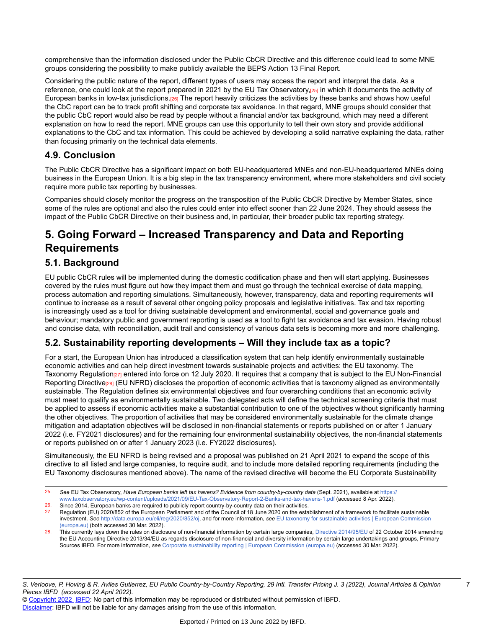comprehensive than the information disclosed under the Public CbCR Directive and this difference could lead to some MNE groups considering the possibility to make publicly available the BEPS Action 13 Final Report.

Considering the public nature of the report, different types of users may access the report and interpret the data. As a reference, one could look at the report prepared in 2021 by the EU Tax Observatory, $z_5$  in which it documents the activity of European banks in low-tax jurisdictions. $26$  The report heavily criticizes the activities by these banks and shows how useful the CbC report can be to track profit shifting and corporate tax avoidance. In that regard, MNE groups should consider that the public CbC report would also be read by people without a financial and/or tax background, which may need a different explanation on how to read the report. MNE groups can use this opportunity to tell their own story and provide additional explanations to the CbC and tax information. This could be achieved by developing a solid narrative explaining the data, rather than focusing primarily on the technical data elements.

### **4.9. Conclusion**

The Public CbCR Directive has a significant impact on both EU-headquartered MNEs and non-EU-headquartered MNEs doing business in the European Union. It is a big step in the tax transparency environment, where more stakeholders and civil society require more public tax reporting by businesses.

Companies should closely monitor the progress on the transposition of the Public CbCR Directive by Member States, since some of the rules are optional and also the rules could enter into effect sooner than 22 June 2024. They should assess the impact of the Public CbCR Directive on their business and, in particular, their broader public tax reporting strategy.

# **5. Going Forward – Increased Transparency and Data and Reporting Requirements**

### **5.1. Background**

EU public CbCR rules will be implemented during the domestic codification phase and then will start applying. Businesses covered by the rules must figure out how they impact them and must go through the technical exercise of data mapping, process automation and reporting simulations. Simultaneously, however, transparency, data and reporting requirements will continue to increase as a result of several other ongoing policy proposals and legislative initiatives. Tax and tax reporting is increasingly used as a tool for driving sustainable development and environmental, social and governance goals and behaviour; mandatory public and government reporting is used as a tool to fight tax avoidance and tax evasion. Having robust and concise data, with reconciliation, audit trail and consistency of various data sets is becoming more and more challenging.

## **5.2. Sustainability reporting developments – Will they include tax as a topic?**

For a start, the European Union has introduced a classification system that can help identify environmentally sustainable economic activities and can help direct investment towards sustainable projects and activities: the EU taxonomy. The Taxonomy Regulation[27] entered into force on 12 July 2020. It requires that a company that is subject to the EU Non-Financial Reporting Directive<sub>[28]</sub> (EU NFRD) discloses the proportion of economic activities that is taxonomy aligned as environmentally sustainable. The Regulation defines six environmental objectives and four overarching conditions that an economic activity must meet to qualify as environmentally sustainable. Two delegated acts will define the technical screening criteria that must be applied to assess if economic activities make a substantial contribution to one of the objectives without significantly harming the other objectives. The proportion of activities that may be considered environmentally sustainable for the climate change mitigation and adaptation objectives will be disclosed in non-financial statements or reports published on or after 1 January 2022 (i.e. FY2021 disclosures) and for the remaining four environmental sustainability objectives, the non-financial statements or reports published on or after 1 January 2023 (i.e. FY2022 disclosures).

Simultaneously, the EU NFRD is being revised and a proposal was published on 21 April 2021 to expand the scope of this directive to all listed and large companies, to require audit, and to include more detailed reporting requirements (including the EU Taxonomy disclosures mentioned above). The name of the revised directive will become the EU Corporate Sustainability

7

<sup>25.</sup> *See* EU Tax Observatory, *Have European banks left tax havens? Evidence from country-by-country data* (Sept. 2021), available at [https://](https://www.taxobservatory.eu/wp-content/uploads/2021/09/EU-Tax-Observatory-Report-2-Banks-and-tax-havens-1.pdf) [www.taxobservatory.eu/wp-content/uploads/2021/09/EU-Tax-Observatory-Report-2-Banks-and-tax-havens-1.pdf](https://www.taxobservatory.eu/wp-content/uploads/2021/09/EU-Tax-Observatory-Report-2-Banks-and-tax-havens-1.pdf) (accessed 8 Apr. 2022). 26. Since 2014, European banks are required to publicly report country-by-country data on their activities.

<sup>27.</sup> Regulation (EU) 2020/852 of the European Parliament and of the Council of 18 June 2020 on the establishment of a framework to facilitate sustainable investment. *See* <http://data.europa.eu/eli/reg/2020/852/oj>, and for more information, *see* [EU taxonomy for sustainable activities | European Commission](https://ec.europa.eu/info/business-economy-euro/banking-and-finance/sustainable-finance/eu-taxonomy-sustainable-activities_en) [\(europa.eu\)](https://ec.europa.eu/info/business-economy-euro/banking-and-finance/sustainable-finance/eu-taxonomy-sustainable-activities_en) (both accessed 30 Mar. 2022).

This currently lays down the rules on disclosure of non-financial information by certain large companies, [Directive 2014/95/EU](https://research.ibfd.org/#/doc?url=/linkresolver/static/tt_e2_2013-34_eng_2013_tt__ad1%23tt_e2_2013-34_eng_2013_tt__ad1) of 22 October 2014 amending the EU Accounting Directive 2013/34/EU as regards disclosure of non-financial and diversity information by certain large undertakings and groups, Primary Sources IBFD. For more information, *see* [Corporate sustainability reporting | European Commission \(europa.eu\)](https://ec.europa.eu/info/business-economy-euro/company-reporting-and-auditing/company-reporting/corporate-sustainability-reporting_en) (accessed 30 Mar. 2022).

<sup>©</sup> [Copyright 2022](http://www.ibfd.org/Copyright-IBFD) [IBFD](http://www.ibfd.org): No part of this information may be reproduced or distributed without permission of IBFD. [Disclaimer:](http://www.ibfd.org/Disclaimer) IBFD will not be liable for any damages arising from the use of this information.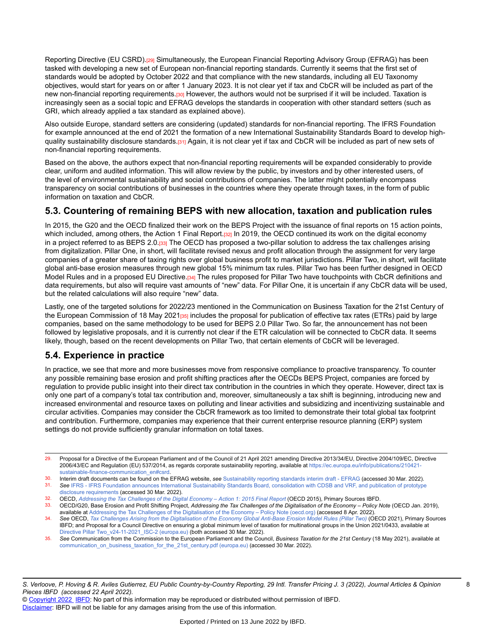Reporting Directive (EU CSRD).[29] Simultaneously, the European Financial Reporting Advisory Group (EFRAG) has been tasked with developing a new set of European non-financial reporting standards. Currently it seems that the first set of standards would be adopted by October 2022 and that compliance with the new standards, including all EU Taxonomy objectives, would start for years on or after 1 January 2023. It is not clear yet if tax and CbCR will be included as part of the new non-financial reporting requirements.<sup>[30]</sup> However, the authors would not be surprised if it will be included. Taxation is increasingly seen as a social topic and EFRAG develops the standards in cooperation with other standard setters (such as GRI, which already applied a tax standard as explained above).

Also outside Europe, standard setters are considering (updated) standards for non-financial reporting. The IFRS Foundation for example announced at the end of 2021 the formation of a new International Sustainability Standards Board to develop highquality sustainability disclosure standards.[31] Again, it is not clear yet if tax and CbCR will be included as part of new sets of non-financial reporting requirements.

Based on the above, the authors expect that non-financial reporting requirements will be expanded considerably to provide clear, uniform and audited information. This will allow review by the public, by investors and by other interested users, of the level of environmental sustainability and social contributions of companies. The latter might potentially encompass transparency on social contributions of businesses in the countries where they operate through taxes, in the form of public information on taxation and CbCR.

## **5.3. Countering of remaining BEPS with new allocation, taxation and publication rules**

In 2015, the G20 and the OECD finalized their work on the BEPS Project with the issuance of final reports on 15 action points, which included, among others, the Action 1 Final Report.[32] In 2019, the OECD continued its work on the digital economy in a project referred to as BEPS 2.0.[33] The OECD has proposed a two-pillar solution to address the tax challenges arising from digitalization. Pillar One, in short, will facilitate revised nexus and profit allocation through the assignment for very large companies of a greater share of taxing rights over global business profit to market jurisdictions. Pillar Two, in short, will facilitate global anti-base erosion measures through new global 15% minimum tax rules. Pillar Two has been further designed in OECD Model Rules and in a proposed EU Directive.<sup>[34]</sup> The rules proposed for Pillar Two have touchpoints with CbCR definitions and data requirements, but also will require vast amounts of "new" data. For Pillar One, it is uncertain if any CbCR data will be used, but the related calculations will also require "new" data.

Lastly, one of the targeted solutions for 2022/23 mentioned in the Communication on Business Taxation for the 21st Century of the European Commission of 18 May 2021<sub>1351</sub> includes the proposal for publication of effective tax rates (ETRs) paid by large companies, based on the same methodology to be used for BEPS 2.0 Pillar Two. So far, the announcement has not been followed by legislative proposals, and it is currently not clear if the ETR calculation will be connected to CbCR data. It seems likely, though, based on the recent developments on Pillar Two, that certain elements of CbCR will be leveraged.

## **5.4. Experience in practice**

In practice, we see that more and more businesses move from responsive compliance to proactive transparency. To counter any possible remaining base erosion and profit shifting practices after the OECDs BEPS Project, companies are forced by regulation to provide public insight into their direct tax contribution in the countries in which they operate. However, direct tax is only one part of a company's total tax contribution and, moreover, simultaneously a tax shift is beginning, introducing new and increased environmental and resource taxes on polluting and linear activities and subsidizing and incentivizing sustainable and circular activities. Companies may consider the CbCR framework as too limited to demonstrate their total global tax footprint and contribution. Furthermore, companies may experience that their current enterprise resource planning (ERP) system settings do not provide sufficiently granular information on total taxes.

30. Interim draft documents can be found on the EFRAG website, *see* [Sustainability reporting standards interim draft - EFRAG](https://www.efrag.org/Activities/2105191406363055/Sustainability-reporting-standards-interim-draft) (accessed 30 Mar. 2022).

- 31. *See* IFRS IFRS Foundation announces International [Sustainability](https://www.ifrs.org/news-and-events/news/2021/11/ifrs-foundation-announces-issb-consolidation-with-cdsb-vrf-publication-of-prototypes/) Standards Board, consolidation with CDSB and VRF, and publication of prototype [disclosure requirements](https://www.ifrs.org/news-and-events/news/2021/11/ifrs-foundation-announces-issb-consolidation-with-cdsb-vrf-publication-of-prototypes/) (accessed 30 Mar. 2022).
- 32. OECD, Addressing the Tax [Challenges](https://research.ibfd.org/#/doc?url=/linkresolver/static/oecd_beps_action_1_final_report_2015%23oecd_beps_action_1_final_report_2015) of the Digital Economy Action 1: 2015 Final Report (OECD 2015), Primary Sources IBFD.<br>33. OECD/G20, Base Erosion and Profit Shifting Project, Addressing the Tay Challenges of the
- OECD/G20, Base Erosion and Profit Shifting Project, Addressing the Tax Challenges of the Digitalisation of the Economy Policy Note (OECD Jan. 2019), available at Addressing the Tax Challenges of the [Digitalisation](https://www.oecd.org/tax/beps/policy-note-beps-inclusive-framework-addressing-tax-challenges-digitalisation.pdf) of the Economy – Policy Note (oecd.org) (accessed 8 Apr. 2022).

35. *See* Communication from the Commission to the European Parliament and the Council, *Business Taxation for the 21st Century* (18 May 2021), available at [communication\\_on\\_business\\_taxation\\_for\\_the\\_21st\\_century.pdf](https://ec.europa.eu/taxation_customs/system/files/2021-05/communication_on_business_taxation_for_the_21st_century.pdf) (europa.eu) (accessed 30 Mar. 2022).

<sup>29.</sup> Proposal for a Directive of the European Parliament and of the Council of 21 April 2021 amending Directive 2013/34/EU, Directive 2004/109/EC, Directive 2006/43/EC and Regulation (EU) 537/2014, as regards corporate sustainability reporting, available at [https://ec.europa.eu/info/publications/210421](https://ec.europa.eu/info/publications/210421-sustainable-finance-communication_en#csrd) [sustainable-finance-communication\\_en#csrd.](https://ec.europa.eu/info/publications/210421-sustainable-finance-communication_en#csrd)

<sup>34.</sup> See OECD, Tax Challenges Arising from the [Digitalisation](https://research.ibfd.org/#/doc?url=/linkresolver/static/oecd_challenges_digitalisation_anti_base_erosion_pillar_2%23oecd_challenges_digitalisation_anti_base_erosion_pillar_2) of the Economy Global Anti-Base Erosion Model Rules (Pillar Two) (OECD 2021), Primary Sources IBFD; and Proposal for a Council Directive on ensuring a global minimum level of taxation for multinational groups in the Union 2021/0433, available at Directive Pillar [Two\\_v24-11-2021\\_ISC-2](https://ec.europa.eu/taxation_customs/system/files/2021-12/COM_2021_823_1_EN_ACT_part1_v11.pdf) (europa.eu) (both accessed 30 Mar. 2022).